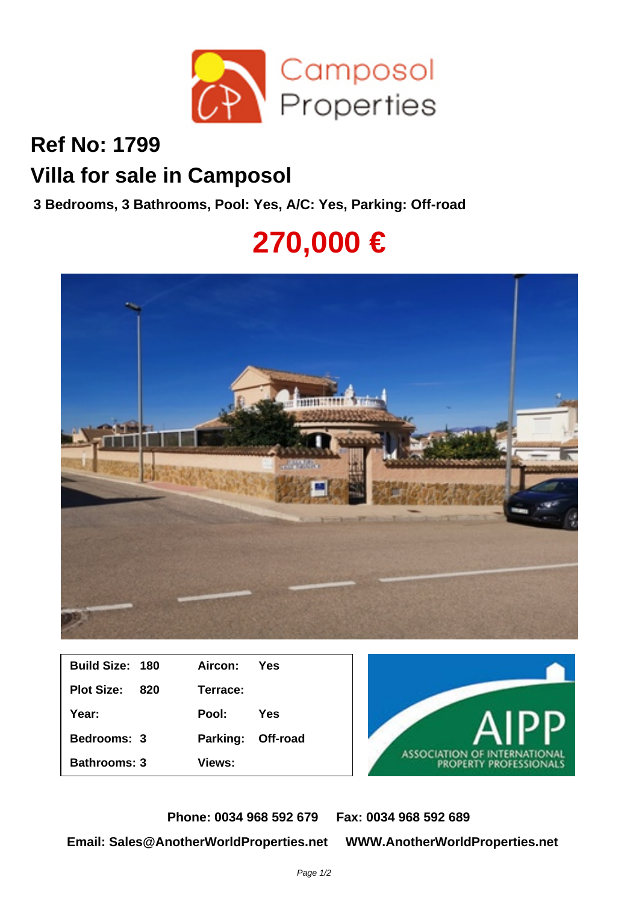

## **Ref No: 1799 Villa for sale in Camposol**

**3 Bedrooms, 3 Bathrooms, Pool: Yes, A/C: Yes, Parking: Off-road**

## **270,000 €**



| <b>Build Size: 180</b> |     | Aircon: Yes       |     |
|------------------------|-----|-------------------|-----|
| <b>Plot Size:</b>      | 820 | Terrace:          |     |
| Year:                  |     | Pool:             | Yes |
| <b>Bedrooms: 3</b>     |     | Parking: Off-road |     |
| <b>Bathrooms: 3</b>    |     | Views:            |     |



**Phone: 0034 968 592 679 Fax: 0034 968 592 689 Email: Sales@AnotherWorldProperties.net WWW.AnotherWorldProperties.net**